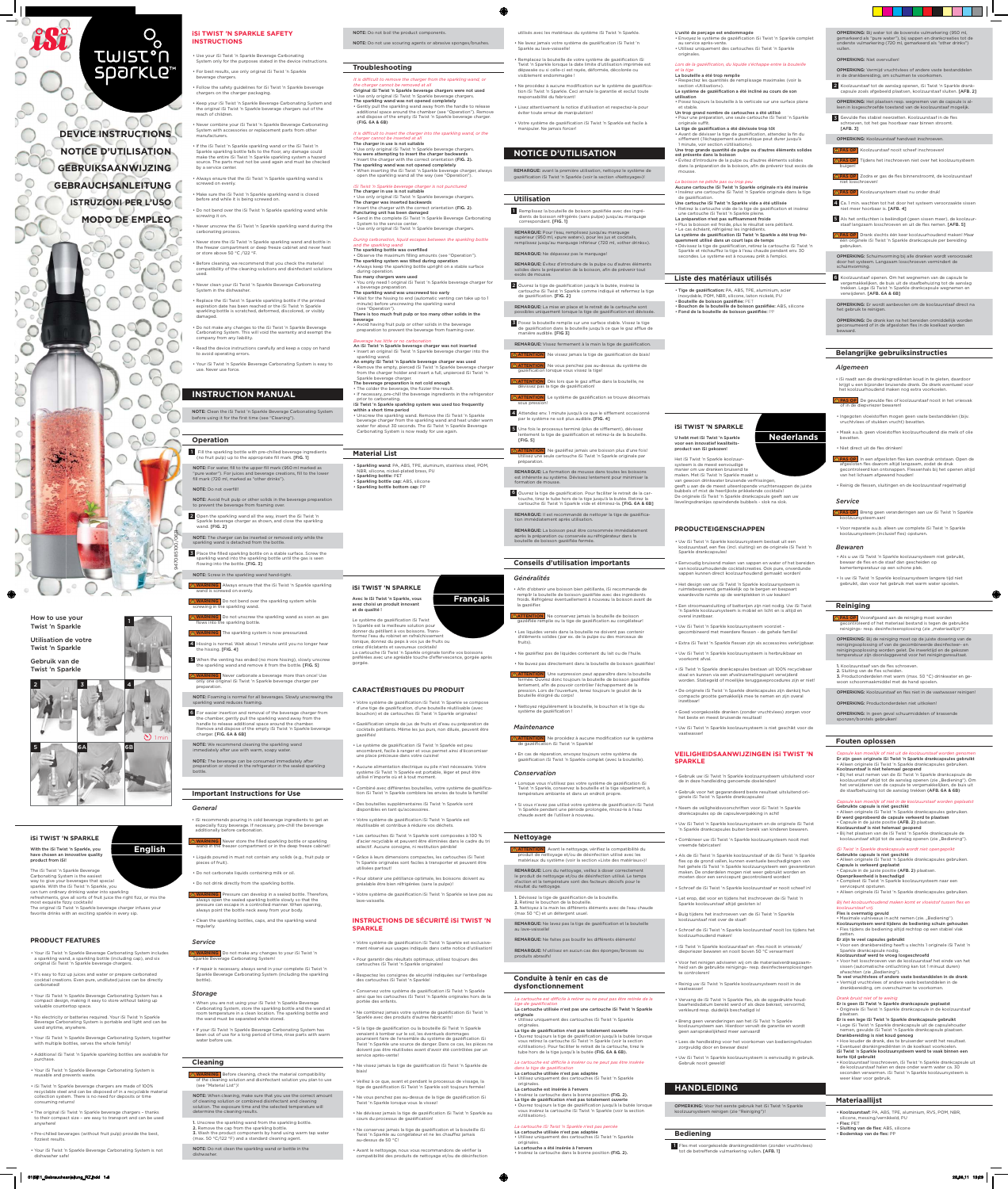# **iSi TWIST 'N SPARKLE**

With the iSi Twist 'n Sparkle, you have chosen an innovative quality product from iSi!

The iSi Twist 'n Sparkle Beverage Carbonating System is the easiest way to give your beverages that special sparkle. With the iSi Twist 'n Sparkle, you can turn ordinary drinking water into sparkling refreshments, give all sorts of fruit juice the right fizz, or mix the most exquisite fizzy cocktails! The original iSi Twist 'n Sparkle beverage charger infuses your favorite drinks with an exciting sparkle in every sip.

• It's easy to fizz up juices and water or prepare carbonated cocktail creations. Even pure, undiluted juices can be directly carbonated!

## **PRODUCT FEATURES**

• Your iSi Twist 'n Sparkle Beverage Carbonating System includes a sparkling wand, a sparkling bottle (including cap), and six original iSi Twist 'n Sparkle beverage chargers.

• Additional iSi Twist 'n Sparkle sparkling bottles are available for purchase

• Pre-chilled beverages (without fruit pulp) provide the best, fizziest results.

• Your iSi Twist 'n Sparkle Beverage Carbonating System has a compact design, making it easy to store without taking up valuable countertop space.

• No electricity or batteries required. Your iSi Twist 'n Sparkle Beverage Carbonating System is portable and light and can be used anytime, anywhere.

• Your iSi Twist 'n Sparkle Beverage Carbonating System, together with multiple bottles, serves the whole family!

*It is difficult to remove the charger from the sparkling wand, or the charger cannot be removed at all* Original iSi Twist 'n Sparkle beverage chargers were not used • Use only original iSi Twist 'n Sparkle beverage chargers. The sparkling wand was not opened completely • Gently pull the sparkling wand away from the handle to release additional space around the chamber (see "Operation"). Remove and dispose of the empty iSi Twist 'n Sparkle beverage charger. (FIG. 6A & 6B)

• Your iSi Twist 'n Sparkle Beverage Carbonating System is reusable and prevents waste. • iSi Twist 'n Sparkle beverage chargers are made of 100%

*It is difficult to insert the charger into the sparkling wand, or the charger cannot be inserted at all* The charger in use is not suitable • Use only original iSi Twist 'n Sparkle beverage chargers. You were attempting to insert the charger backwards • Insert the charger with the correct orientation (FIG. 2). The sparkling wand was not opened completely

*iSi Twist 'n Sparkle beverage charger is not punctured* The charger in use is not suitable

recyclable steel and can be disposed of in a recyclable material collection system. There is no need for deposits or time consuming returns!

• The original iSi Twist 'n Sparkle beverage chargers – thanks to their compact size – are easy to transport and can be used anywhere!

• Your iSi Twist 'n Sparkle Beverage Carbonating System is not dishwasher safe!

4 Hissing is normal. Wait about 1 minute until you no longer hear the hissing. **[FIG. 4]** 

**English**

NOTE: Do not boil the product components. NOTE: Do not use scouring agents or abrasive sponges/brushes.

## **Troubleshooting**

The sparkling bottle was overfilled Observe the maximum filling amounts (see "Operation"). The sparkling system was tilted during operation • Always keep the sparkling bottle upright on a stable surface during operation. Too many chargers were used • You only need 1 original iSi Twist 'n Sparkle beverage charger for a beverage preparation. The sparkling wand was unscrewed too early • Wait for the hissing to end (automatic venting can take up to 1 minute) before unscrewing the sparkling wand (see "Operation") There is too much fruit pulp or too many other solids in the beverage • Avoid having fruit pulp or other solids in the beverage

The beverage preparation is not cold enough • The colder the beverage, the fizzier the result

tonique, donnez du peps à vos jus de fruits ou créez d'éclatants et savoureux cocktails! La cartouche iSi Twist 'n Sparkle originale tonifie vos boissons préférées avec une agréable touche d'effervescence, gorgée après gorgée. 5 When the venting has ended (no more hissing), slowly unscrew

• When inserting the iSi Twist 'n Sparkle beverage charger, always open the sparkling wand all the way (see "Operation").

• Votre système de gazéification iSi Twist 'n Sparkle se compose d'une tige de gazéification, d'une bouteille réutilisable (avec bouchon) et de cartouches iSi Twist 'n Sparkle originales!

• Gazéifi cation simple de jus de fruits et d'eau ou préparation de cocktails pétillants. Même les jus purs, non dilués, peuvent être gazéifiés! • Le système de gazéification iSi Twist 'n Sparkle est peu

ombrant, facile à ranger et vous permet ainsi d'économise une place précieuse dans votre cuisine!

• Use only original iSi Twist 'n Sparkle beverage chargers. The charger was inserted backwards • Insert the charger with the correct orientation (FIG. 2). Puncturing unit has been damaged • Send in the complete iSi Twist 'n Sparkle Beverage Carbonating System to the service center. • Use only original iSi Twist 'n Sparkle beverage chargers.

• Combiné avec différentes bouteilles, votre système de gazéification iSi Twist 'n Sparkle comblera les envies de toute la famille!

• Des bouteilles supplémentaires iSi Twist 'n Sparkle sont disponibles en tant qu'accessoires

• Votre système de gazéification iSi Twist 'n Sparkle est réutilisable et contribue à réduire vos déchet

*During carbonation, liquid escapes between the sparkling bottle and the sparkling wand*

• Votre système de gazéification iSi Twist 'n Sparkle se lave pas au lave-vaisselle.

• Votre système de gazéification iSi Twist 'n Sparkle est exclusivement réservé aux usages indiqués dans cette notice d'utilisation!

• Conservez votre système de gazéification iSi Twist 'n Sparkle ainsi que les cartouches iSi Twist 'n Sparkle originales hors de la portée des enfants.

• Ne combinez jamais votre système de gazéification iSi Twist 'n Sparkle avec des produits d'autres fabricants!

• Si la tige de gazéification ou la bouteille iSi Twist 'n Sparkle venaient à tomber sur le sol, les éventuels dommages<br>pourraient faire de l'ensemble du système de gazéification iSi Twist 'n Sparkle une source de danger. Dans ce cas, les pièces ne doivent pas être réutilisées avant d'avoir été contrôlées par un service après-vente!

preparation to prevent the beverage from foaming over.

• Ne vissez jamais la tige de gazéification iSi Twist 'n Sparkle de biais!

• Veillez à ce que, avant et pendant le processus de vissage, la tige de gazéification iSi Twist 'n Sparkle soit toujours fermée!

#### *Beverage has little or no carbonation* An iSi Twist 'n Sparkle beverage charger was not inserted

• Ne vous penchez pas au-dessus de la tige de gazéification iSi Twist 'n Sparkle lorsque vous la vissez!

• Ne dévissez jamais la tige de gazéification iSi Twist 'n Sparkle au cours du processus de gazéification!

• Ne conservez jamais la tige de gazéification et la bouteille iSi Twist 'n Sparkle au congélateur et ne les chauffez jamais au-dessus de 50 °C!

• Insert an original iSi Twist 'n Sparkle beverage charger into the sparkling wand. An empty iSi Twist 'n Sparkle beverage charger was used • Remove the empty, pierced iSi Twist 'n Sparkle beverage charger from the charger holder and insert a full, unpierced iSi Twist 'n Sparkle beverage charger.

• Avant le nettoyage, nous vous recommandons de vérifier la compatibilité des produits de nettoyage et/ou de désinfection

utilisés avec les matériaux du système iSi Twist 'n Sparkle. • Ne lavez jamais votre système de gazéification iSi Twist 'n

• Extra iSi Twist 'n Sparkle flessen zijn als accessoires verkrijgbaar

Remplacez la bouteille de votre système de gazéification iSi Twist 'n Sparkle lorsque la date limite d'utilisation imprimée est dépassée ou si celle-ci est rayée, déformée, décolorée ou

• Ne procédez à aucune modification sur le système de gazéification iSi Twist 'n Sparkle. Ceci annule la garantie et exclut toute

• If necessary, pre-chill the beverage ingredients in the refrigerator prior to carbonating. iSi Twist 'n Sparkle sparkling system was used too frequently

REMARQUE: avant la première utilisation, nettoyez le système de gazéification iSi Twist 'n Sparkle (voir la section «Nettoyage»)!

1 Remplissez la bouteille de boisson gazéifiée avec des ingrédients de boisson réfrigérés (sans pulpe) jusqu'au marquage<br>correspondant. **[FIG. 1]** 

within a short time period • Unscrew the sparkling wand. Remove the iSi Twist 'n Sparkle

beverage charger from the sparkling wand and heat under warm water for about 30 seconds. The iSi Twist 'n Sparkle Beverage Carbonating System is now ready for use again.

### **Material List**

REMARQUE: Évitez d'introduire de la pulpe ou d'autres éléments solides dans la préparation de la boisson, afin de prévenir tout

• Sparkling wand: PA, ABS, TPE, aluminum, stainless steel, POM, NBR, silicone, nickel-plated brass, PU • Sparkling bottle: PET • Sparkling bottle cap: ABS, silicone • Sparkling bottle bottom cap: PP

2 Ouvrez la tige de gazéification jusqu'à la butée, insérez la cartouche iSi Twist 'n Sparkle comme indiqué et refermez la tige

**iSi TWIST 'N SPARKLE** Avec le iSi Twist 'n Sparkle, vous avez choisi un produit innovant

Le système de gazéification iSi Twist 'n Sparkle est la meilleure solution pour donner du pétillant à vos boissons. Transformez l'eau du robinet en rafraîd

et de qualité !

**3** Posez la bouteille remplie sur une surface stable. Vissez la tige de gazéification dans la bouteille jusqu'à ce que le gaz afflue de manière audible. [FIG 3]

ent lorsque la tige de gazéification est dévissée

REMARQUE: Vissez fermement à la main la tige de gazéification.

4 Attendez env. 1 minute jusqu'à ce que le sifflement occasionné par le système ne soit plus audible. [FIG. 4]

entement la tige de gazéification et retirez-la de la bouteille.

**ATTENTION** Ne gazéifiez jamais une boisson plus d'une fois!<br>Utilisez une seule cartouche iSi Twist 'n Sparkle originale par

5 Une fois le processus terminé (plus de sifflement), dévissez [FIG. 5]

# **CARACTÉRISTIQUES DU PRODUIT**

formation de mousse. 6 Ouvrez la tige de gazéification. Pour faciliter le retrait de la car-

REMARQUE: Il est recommandé de nettoyer la tige de gazéifica-

REMARQUE: La boisson peut être consommée immédiatement après la préparation ou conservée au réfrigérateur dans la<br>bouteille de boisson gazéifiée fermée.

• Aucune alimentation électrique ou pile n'est nécessaire. Votre système iSi Twist 'n Sparkle est portable, léger et peut être utilisé n'importe où et à tout moment.

• Ne gazéifiez pas de liquides contenant du lait ou de l'huile • Ne buvez pas directement dans la bouteille de boisson gazéifiée! **ATTENTION** Une surpression peut apparaître dans la bouteille fermée. Ouvrez donc toujours la bouteille de boisson gazéifiée lentement, afin de pouvoir contrôler l'échappement de la pression. Lors de l'ouverture, tenez toujours le goulot de la

• En cas de réparation, envoyez toujours votre système de gazéification iSi Twist 'n Sparkle complet (avec la bouteille).

• Lorsque vous n'utilisez pas votre système de gazéification iSi Twist 'n Sparkle, conservez la bouteille et la tige séparément, à

• Si vous n'avez pas utilisé votre système de gazéification iSi Twist 'n Sparkle pendant une période prolongée, rincez-le à l'eau

• Les cartouches iSi Twist 'n Sparkle sont composées à 100 % d'acier recyclable et peuvent être éliminées dans le cadre du tri sélectif. Aucune consigne, ni restitution pénible!

• Grâce à leurs dimensions compactes, les cartouches iSi Twist 'n Sparkle originales sont faciles à transporter et peuvent être utilisées partout!

**ATTENTION** Avant le nettoyage, vérifiez la compatibilité du produit de nettoyage et/ou de désinfection utilisé avec les matériaux du système (voir la section «Liste des matériaux»)! REMARQUE: Lors du nettoyage, veillez à doser correctement le produit de nettoyage et/ou de désinfection utilisé. Le temps d'action et la température sont des facteurs décisifs pour le

3. Nettoyez à la main les différents éléments avec de l'eau chaude

REMARQUE: Ne lavez pas la tige de gazéification et la bouteille

La cartouche est difficile à retirer ou ne peut pas être retirée de la

• Pour obtenir une pétillance optimale, les boissons doivent au préalable être bien réfrigérées (sans la pulpe)!

> REMARQUE: Ne faites pas bouillir les différents éléments! REMARQUE: N'utilisez en aucun cas des éponges/brosses ou

1. Dévissez la tige de gazéification de la bouteille. Retirez le bouchon de la bouteille.

### **INSTRUCTIONS DE SÉCURITÉ iSi TWIST 'N SPARKLE**

• Pour garantir des résultats optimaux, utilisez toujours des cartouches iSi Twist 'n Sparkle originales!

• Respectez les consignes de sécurité indiquées sur l'emballage des cartouches iSi Twist 'n Sparkle!

Lors de la gazéification, du liquide s'échappe entre la bouteille *et la tige* La bouteille a été trop remplie

sifflement (l'échappement automatique peut durer jusqu'à minute, voir section «Utilisation»). Une trop grande quantité de pulpe ou d'autres éléments solides

Aucune cartouche iSi Twist 'n Sparkle originale n'a été insérée • Insérez une cartouche iSi Twist 'n Sparkle originale dans la tige de gazéification.

Une cartouche iSi Twist 'n Sparkle vide a été utilisée • Retirez la cartouche vide de la tige de gazéification et insérez une cartouche iSi Twist 'n Sparkle pleine. La préparation n'est pas suffisamment froide

• Dévissez la tige de gazéification, retirez la cartouche iSi Twist 'n Sparkle et réchauffez la tige à l'eau chaude pendant env. 30 secondes. Le système est à nouveau prêt à l'emploi.

**iSi TWIST 'N SPARKLE** U hebt met iSi Twist 'n Sparkle voor een innovatief kwaliteitsproduct van iSi gekozen! Het iSi Twist 'n Sparkle koolzuursysteem is de meest eenvoudige manier om uw dranken bruisend te maken. Met iSi Twist 'n Sparkle maakt u In gewoon drinkwater bruisende verfrissingen,

• Tige de gazéification: PA, ABS, TPE, aluminium, acier inoxydable, POM, NBR, silicone, laiton nickelé, PU • Bouteille de boisson gazéifiée: PET Boutenis de Boucom gardinaire de la bouteille de boisson gazéifiée: ABS, silicone • Fond de la bouteille de boisson gazéifiée: PP

• Uw iSi Twist 'n Sparkle koolzuursysteem bestaat uit een koolzuurstaaf, een fles (incl. sluiting) en de originele iSi Twist 'n

visiblement endommagée !

responsabilité du fabricant!

• Lisez attentivement la notice d'utilisation et respectez-la pour

• Votre système de gazéification iSi Twist 'n Sparkle est facile à

• Uw iSi Twist 'n Sparkle koolzuursysteem voorziet gecombineerd met meerdere flessen - de gehele familie!

manipuler. Ne jamais forcer!

**NOTICE D'UTILISATION**

**ATTENTION** Ne vissez jamais la tige de gazéification de biais!

**ATTENTION** Ne vous penchez pas au-dessus du système de gazéification lorsque vous vissez la tige!

**ATTENTION** Dès lors que le gaz afflue dans la bouteille, ne évissez pas la tige de gazéification

**ATTENTION** Le système de gazéification se trouve désormais sous pressio

**Utilisation**

• Goed voorgekoelde dranken (zonder vruchtvlees) zorgen voor het beste en meest bruisende resultaat

• Gebruik uw iSi Twist 'n Sparkle koolzuursysteem uitsluitend voor de in deze handleiding genoemde doeleinde

REMARQUE: Pour l'eau, remplissez jusqu'au marquage érieur (950 ml, «pure water»), pour les jus et cocktails, remplissez jusqu'au marquage inférieur (720 ml, «other drinks»).

REMARQUE: Ne dépassez pas le marquage!

Sparkle au lave-vaisselle

• Als de iSi Twist 'n Sparkle koolzuurstaaf of de iSi Twist 'n Sparkle fles op de grond vallen, kunnen eventuele beschadigingen van het gehele iSi Twist 'n Sparkle koolzuursysteem een gevarenbron maken. De onderdelen mogen niet weer gebruikt worden en moeten door een servicepunt gecontroleerd worden

excès de mousse.

de gazéification. **[FIG. 2]** 

éviter toute erreur de manipulation

REMARQUE: La mise en place et le retrait de la cartouche sont

• iSi Twist 'n Sparkle koolzuurstaaf en -fles nooit in vriesvak/ diepvriezer bewaren en nooit boven 50 °C verwarmen!

• Voor het reinigen adviseren wij om de materiaalverdraagzaamheid van de gebruikte reinigings- resp. desinfecteeroplossingen te controleren

• Vervang de iSi Twist 'n Sparkle fles, als de opgedrukte houdbaarheidsdatum bereikt werd of als deze bekrast, vervormd, verkleurd resp. duidelijk beschadigd is!

 Fles met voorgekoelde drankingrediënten (zonder vruchtvlees) 1 tot de betreffende vulmarkering vullen. [AFB. 1]

OPMERKING: Vermijd vruchtvlees of andere vaste bestanddelen in de drankbereiding, om schuimen te voorkom

2 Koolzuurstaaf tot de aanslag openen, iSi Twist 'n Sparkle drankcapsule zoals afgebeeld plaatsen, koolzuurstaaf sluiten. [AFB. 2]

3 Gevulde fles stabiel neerzetten. Koolzuurstaaf in de fles oeven, tot het gas hoorbaar naar binnen stroomt. [AFB. 3]

préparation.

REMARQUE: La formation de mousse dans toutes les boissons est inhérente au système. Dévissez lentement pour minimiser la

5 Als het ontluchten is beëindigd (geen sissen meer), de koolzuurstaaf langzaam losschroeven en uit de fles nemen. [AFB. 5] **A PAS OP** Drank slechts één keer koolzuurhoudend maken! Maar één originele iSi Twist 'n Sparkle drankcapsule per bereiding

touche, tirez le tube hors de la tige jusqu'à la butée. Retirez la cartouche iSi Twist 'n Sparkle vide et éliminez-la. [FIG. 6A & 6B] 6 Koolzuurstaaf openen. Om het wegnemen van de capsule te vergemakkelijken, de buis uit de staafbehuizing tot de aanslag trekken. Lege iSi Twist 'n Sparkle drankcapsule wegnemen en

tion immédiatement après utilisation.

OPMERKING: De drank kan na het bereiden onmiddellijk worden geconsumeerd of in de afgesloten fles in de koelkast worden

# **Conseils d'utilisation importants**

#### *Généralités*

s (par ex. de la pulpe ou

**A PAS OP** In een afgesloten fles kan overdruk ontstaan. Open de afgesloten fles daarom altijd langzaam, zodat de druk gecontroleerd kan ontsnappen. Flessenhals bij het openen altijd

• Reinig de flessen, sluitingen en de koolzuurstaaf regelmatig!

**A PAS OP** Breng geen veranderingen aan uw iSi Twist 'n Sparkle

• Les liquides versés dans la bouteille ne doivent pas contenir

bewaar de fles en de staaf dan gescheiden op kamertemperatuur op een schone plek.

**A PAS OP** Voorafgaand aan de reiniging moet worden

fruits).

OPMERKING: Bij de reiniging moet op de juiste dosering van de reinigingsoplossing of van de gecombineerde desinfecteer- en reinigingsoplossing worden gelet. De inwerktijd en de gekozen tuur zijn doorslag

reinigings- resp. desinfecteeroplossing (zie "materiaallijst")!

erd of het materiaal bestand is tegen de gebruikte

1. Koolzuurstaaf van de fles schroeven. 2. Sluiting van de fles scheiden. 3. Productonderdelen met warm (max. 50 °C) drinkwater en ge-woon schoonmaakmiddel met de hand spoelen.

OPMERKING: Koolzuurstaaf en fles niet in de vaatwasser reinigen!

bouteille éloigné du corps!

système de gazéification !

de gazéification iSi Twist 'n Sparkle

• Nettoyez régulièrement la bouteille, le bouchon et la tige du

**ATTENTION** Ne procédez à aucune modification sur le système

*Maintenance*

Gebruikte capsule is niet geschikt • Alleen originele iSi Twist 'n Sparkle drankcapsules gebruiken. Er werd geprobeerd de capsule verkeerd te plaatsen • Capsule in de juiste positie (AFB. 2) plaatsen. Koolzuurstaaf is niet helemaal geopend • Bij het plaatsen van de iSi Twist 'n Sparkle drankcapsule de koolzuurstaaf altijd tot de aanslag openen (zie "Bediening").

*Conservation*

température ambiante et dans un endroit propre.

chaude avant de l'utiliser à nouveau.

**Nettoyage**

#### Bij het koolzuurhoudend maken komt er vloeistof tussen fles en *koolzuurstaaf vrij.*

• Voor het losschroeven van de koolzuurstaaf het einde van het sissen (automatische ontluchting kan tot 1 minuut duren) afwachten (zie "Bediening").

résultat du nettoyage.

(max 50 °C) et un détergent usuel.

au lave-vaisselle!

produits abrasifs!

**Conduite à tenir en cas de** 

**dysfonctionnement**

*tige de gazéifi cation*

### **iSi TWIST 'N SPARKLE SAFETY INSTRUCTIONS**

La cartouche utilisée n'est pas une cartouche iSi Twist 'n Sparkle originale • Utilisez uniquement des cartouches iSi Twist 'n Sparkle originales. La tige de gazéifi cation n'est pas totalement ouverte

• Ouvrez toujours la tige de gazéification jusqu'à la butée lorsque<br>vous retirez la cartouche iSi Twist 'n Sparkle (voir la section «Utilisation»). Pour faciliter le retrait de la cartouche, tirez le tube hors de la tige jusqu'à la butée (FIG. 6A & 6B). La cartouche est difficile à insérer ou ne peut pas être insérée

*dans la tige de gazéifi cation*

La cartouche utilisée n'est pas adaptée

• Utilisez uniquement des cartouches iSi Twist 'n Sparkle

originales.

La cartouche est insérée à l'envers

• Never clean your iSi Twist 'n Sparkle Beverage Carbonating System in the dishwasher

> • Insérez la cartouche dans la bonne position (FIG. 2). La tige de gazéification n'est pas totalement ouverte • Ouvrez toujours la tige de gazéification jusqu'à la butée lorsque vous insérez la cartouche iSi Twist 'n Sparkle (voir la section

«Utilisation»).

*La cartouche iSi Twist 'n Sparkle n'est pas percée* La cartouche utilisée n'est pas adaptée • Utilisez uniquement des cartouches iSi Twist 'n Sparkle

NOTE: Clean the iSi Twist 'n Sparkle Beverage Carbonating System before using it for the first time (see "Cleaning").

originales. La cartouche a été insérée à l'envers

• Insérez la cartouche dans la bonne position (FIG. 2).

**Français**

• Afin d'obtenir une boisson bien pétillante, iSi recommande de remplir la bouteille de boisson gazéifiée avec des ingrédients froids. Réfrigérez éventuellement à nouveau la boisson avant de la gazéifier

**ATTENTION** Ne conservez jamais la bouteille de boisson lie ou la tige de gazéification au congélateur! L'unité de perçage est endommagée • Envoyez le système de gazéification iSi Twist 'n Sparkle complet au service après-vente. • Utilisez uniquement des cartouches iSi Twist 'n Sparkle originales.

 wand is screwed on evenly. **NG** Do not bend over the sparkling system while

screwing in the sparkling wand

**G** Do not unscrew the sparkling wand as soon as gas lows into the sparkling bottle. **A WARNING** The sparkling system is now pressurized.

• Respectez les quantités de remplissage maximales (voir la section «Utilisation»). Le système de gazéification a été incliné au cours de son utilisation • Posez toujours la bouteille à la verticale sur une surface plane

et stable. Un trop grand nombre de cartouches a été utilisé • Pour une préparation, une seule cartouche iSi Twist 'n Sparkle

originale suffit La tige de gazéification a été dévissée trop tôt • Avant de dévisser la tige de gazéification, attendez la fin du

the sparkling wand and remove it from the bottle. [FIG. 5]  **WARNING** Never carbonate a beverage more than once! Use only one original iSi Twist 'n Sparkle beverage charger per

**6** For easier insertion and removal of the beverage charger from the chamber, gently pull the sparkling wand away from the handle to release additional space around the chamber. Remove and dispose of the empty iSi Twist 'n Sparkle beverage

• iSi recommends pouring in cold beverage ingredients to get an especially fizzy beverage. If necessary, pre-chill the beverage

est présente dans la boisson • Évitez d'introduire de la pulpe ou d'autres éléments solides dans la préparation de la boisson, afin de prévenir tout excès de mousse.

#### *La boisson ne pétille pas ou trop peu*

**G** Never store the filled sparkling bottle or sparkling wand in the freezer compartment or in the deep freeze cabinet • Liquids poured in must not contain any solids (e.g., fruit pulp or

• Plus la boisson est froide, plus le résultat sera pétillant. • Le cas échéant, réfrigérez les ingrédients. Le système de gazéification iSi Twist 'n Sparkle a été trop fréquemment utilisé dans un court laps de temps

NOTE: When cleaning, make sure that you use the correct amount of cleaning solution or combined disinfectant and cleaning solution. The exposure time and the selected temperature will

#### **Liste des matériaux utilisés**

geeft u aan de de meest uiteenlopende vruchtensappen de juiste bubbels of mixt de heerlijkste prikkelende cocktails! De originele iSi Twist 'n Sparkle drankcapsule geeft aan uw lievelingsdrankjes opwindende bubbels - slok na slok.

**PRODUCTEIGENSCHAPPEN**

Sparkle drankcapsules!

• Eenvoudig bruisend maken van sappen en water of het bereiden van koolzuurhoudende cocktailcreaties. Ook pure, onverdunde sappen kunnen direct koolzuurhoudend gemaakt worden! • Het design van uw iSi Twist 'n Sparkle koolzuursysteem is ruimtebesparend, gemakkelijk op te bergen en bespaart waardevolle ruimte op de werkplekken in uw keuken! • Een stroomaansluiting of batterijen zijn niet nodig. Uw iSi Twist 'n Sparkle koolzuursysteem is mobiel en licht en is altijd en

overal inzetbaar.

• Uw iSi Twist 'n Sparkle koolzuursysteem is herbruikbaar en voorkomt afval.

• iSi Twist 'n Sparkle drankcapsules bestaan uit 100% recyclebaar staal en kunnen via een afvalinzamelingspunt verwijderd worden. Statiegeld of moeilijke teruggaveprocedures zijn er niet!

• De originele iSi Twist 'n Sparkle drankcapsules zijn dankzij hun compacte grootte gemakkelijk mee te nemen en zijn overal inzetbaar!

• Uw iSi Twist 'n Sparkle koolzuursysteem is niet geschikt voor de vaatwasser!

### **VEILIGHEIDSAANWIJZINGEN iSi TWIST 'N SPARKLE**

• Gebruik voor het gegarandeerd beste resultaat uitsluitend originele iSi Twist 'n Sparkle drankcapsules!

• Neem de veiligheidsvoorschriften voor iSi Twist 'n Sparkle drankcapsules op de capsuleverpakking in acht!

• Uw iSi Twist 'n Sparkle koolzuursysteem en de originele iSi Twist 'n Sparkle drankcapsules buiten bereik van kinderen bewaren.

• Combineer uw iSi Twist 'n Sparkle koolzuursysteem nooit met vreemde fabricaten!

• Schroef de iSi Twist 'n Sparkle koolzuurstaaf er nooit scheef in!

• Let erop, dat voor en tijdens het inschroeven de iSi Twist 'n Sparkle koolzuurstaaf altijd gesloten is!

• Buig tijdens het inschroeven van de iSi Twist 'n Sparkle koolzuurstaaf niet over de staaf!

• Schroef de iSi Twist 'n Sparkle koolzuurstaaf nooit los tijdens het koolzuurhoudend maken!

• Reinig uw iSi Twist 'n Sparkle koolzuursysteem nooit in de vaatwasser!

• Breng geen veranderingen aan het iSi Twist 'n Sparkle koolzuursysteem aan. Hierdoor vervalt de garantie en wordt geen aansprakelijkheid meer aanvaard!

• Lees de handleiding voor het voorkomen van bedieningsfouten zorgvuldig door en bewaar deze!

• Uw iSi Twist 'n Sparkle koolzuursysteem is eenvoudig in gebruik. Gebruik nooit geweld!

# **HANDLEIDING**

OPMERKING: Voor het eerste gebruik het iSi Twist 'n Sparkle koolzuursysteem reinigen (zie "Reiniging")!

# **Bediening**

OPMERKING: Bij water tot de bovenste vulmarkering (950 ml, gemarkeerd als "pure water"), bij sappen en drankcreaties tot de onderste vulmarkering (720 ml, gemarkeerd als "other drinks") vullen.

OPMERKING: Niet overvullen!

OPMERKING: Het plaatsen resp. wegnemen van de capsule is alleen in losgeschroefde toestand van de koolzuurstaaf mogelijk.

#### OPMERKING: Koolzuurstaaf handvast inschroeven.

**A PAS OP** Koolzuursysteem staat nu onder druk!

buigen!

niet losschroeven!

niet meer hoorbaar is. [AFB. 4]

gebruiken.

schuimvorm

OPMERKING: Schuimvorming bij alle dranken wordt veroorzaakt door het systeem. Langzaam losschroeven vermindert de

verwijderen. [AFB. 6A & 6B]

OPMERKING: Er wordt aanbevolen om de koolzuurstaaf direct na

bewaard.

**Belangrijke gebruiksinstructies**

*Algemeen*

• iSi raadt aan de drankingrediënten koud in te gieten, daardoor krijgt u een bijzonder bruisende drank. De drank eventueel voor

**A PAS OP** De gevulde fles of koolzuurstaaf nooit in het vriesvak

• Ingegoten vloeistoffen mogen geen vaste bestanddelen (bijv.

• Maak a.u.b. geen vloeistoffen koolzuurhoudend die melk of olie

het koolzuurhoudend maken nog extra voorkoelen.

of in de diepvriezer bewaren!

• Niet direct uit de fles drinken!

vruchtvlees of stukken vrucht) bevatten.

het gebruik te reinigen

**A PAS OP** Koolzuurstaaf nooit scheef inschroeven!

**APAS OP** Tijdens het inschroeven niet over het koolzuursysteem

**APAS OP** Zodra er gas de fles binnenstroomt, de koolzuurstaaf

4 Ca. 1 min. wachten tot het door het systeem veroorzaakte sissen

bevatten.

van het lichaam afgewend houden!

*Service*

koolzuursysteem aan!

• Voor reparatie a.u.b. alleen uw complete iSi Twist 'n Sparkle

*Bewaren*

• Als u uw iSi Twist 'n Sparkle koolzuursysteem niet gebruikt,

• Is uw iSi Twist 'n Sparkle koolzuursysteem langere tijd niet gebruikt, dan voor het gebruik met warm water spoelen.

koolzuursysteem (inclusief fles) opsturen.

**Reiniging**

OPMERKING: Productonderdelen niet uitkoken!

OPMERKING: In geen geval schuurmiddelen of krassende sponzen/borstels gebruiken!

## **Fouten oplossen**

*Capsule kan moeilijk of niet uit de koolzuurstaaf worden genomen* Er zijn geen originele iSi Twist 'n Sparkle drankcapsules gebruikt • Alleen originele iSi Twist 'n Sparkle drankcapsules gebruiken. Koolzuurstaaf is niet helemaal geopend • Bij het eruit nemen van de iSi Twist 'n Sparkle drankcapsule de koolzuurstaaf altijd tot de aanslag openen (zie "Bediening"). Om<br>het verwijderen van de capsule te vergemakkelijken, de buis uit de staafbehuizing tot de aanslag trekken (AFB. 6A & 6B)

#### *Capsule kan moeilijk of niet in de koolzuurstaaf worden geplaatst*

#### *iSi Twist 'n Sparkle drankcapsule wordt niet opengeprikt*

Gebruikte capsule is niet geschikt • Alleen originele iSi Twist 'n Sparkle drankcapsules gebruiken. Capsule is verkeerd geplaatst • Capsule in de juiste positie (AFB. 2) plaatsen. Openprikeenheid is beschadigd • Compleet iSi Twist 'n Sparkle koolzuursysteem naar een servicepunt opsturen. • Alleen originele iSi Twist 'n Sparkle drankcapsules gebruiken.

#### Fles is overmatig gevuld • Maximale vulniveaus in acht nemen (zie. "Bediening"). Koolzuursysteem werd tijdens de bediening schuin gehouden • Fles tijdens de bediening altijd rechtop op een stabiel vlak

zetten. Er zijn te veel capsules gebruikt • Voor een drankbereiding heeft u slechts 1 originele iSi Twist 'n

Sparkle drankcapsule nodig. Koolzuurstaaf werd te vroeg losgeschroefd

Te veel vruchtvlees of andere vaste bestanddelen in de drank • Vermijd vruchtvlees of andere vaste bestanddelen in de drankbereiding, om overschuimen te voorkomen.

## *Drank bruist niet of te weinig*

Er is geen iSi Twist 'n Sparkle drankcapsule geplaatst • Originele iSi Twist 'n Sparkle drankcapsule in de koolzuurstaaf plaatsen.

#### Er is een lege iSi Twist 'n Sparkle drankcapsule gebruikt • Lege iSi Twist 'n Sparkle drankcapsule uit de capsulehouder

nemen, gevulde iSi Twist 'n Sparkle drankcapsule plaatsen. Drankbereiding is niet koud genoeg

• Hoe kouder de drank, des te bruisender wordt het resultaat. • Eventueel drankingrediënten in de koelkast voorkoelen. iSi Twist 'n Sparkle koolzuursysteem werd te vaak binnen een korte tijd gebruikt

• Koolzuurstaaf losschroeven, iSi Twist 'n Sparkle drankcapsule uit de koolzuurstaaf halen en deze onder warm water ca. 30 seconden verwarmen. iSi Twist 'n Sparkle koolzuursysteem is weer klaar voor gebruik.

**Materiaallijst**

• Koolzuurstaaf: PA, ABS, TPE, aluminium, RVS, POM, NBR, silicone, messing/vernikkeld, PU • Fles: PET

• Sluiting van de fles: ABS, silicone • Bodemkap van de fles: PF

**Nederlands**

How to use your Twist 'n Sparkle

Utilisation de votre Twist 'n Sparkle

## Gebruik van de Twist 'n Sparkle

1



• Use your iSi Twist 'n Sparkle Beverage Carbonating System only for the purposes stated in the device instructions.

• For best results, use only original iSi Twist 'n Sparkle beverage chargers. • Follow the safety guidelines for iSi Twist 'n Sparkle beverage

chargers on the charger packaging.

• Keep your iSi Twist 'n Sparkle Beverage Carbonating System and the original iSi Twist 'n Sparkle beverage chargers out of the reach of children.

• Never combine your iSi Twist 'n Sparkle Beverage Carbonating System with accessories or replacement parts from other manufacturers.

• If the iSi Twist 'n Sparkle sparkling wand or the iSi Twist 'n Sparkle sparkling bottle falls to the floor, any damage could make the entire iSi Twist 'n Sparkle sparkling system a hazard source. The parts must not be used again and must be checked by a service center.

• Always ensure that the iSi Twist 'n Sparkle sparkling wand is screwed on evenly.

• Make sure the iSi Twist 'n Sparkle sparkling wand is closed before and while it is being screwed on.

• Do not bend over the iSi Twist 'n Sparkle sparkling wand while screwing it on.

• Never unscrew the iSi Twist 'n Sparkle sparkling wand during the carbonating process.

• Never store the iSi Twist 'n Sparkle sparkling wand and bottle in the freezer compartment or deep freeze cabinet and never heat or store above 50 °C /122 °F.

• Before cleaning, we recommend that you check the material compatibility of the cleaning solutions and disinfectant solutions used.

• Replace the iSi Twist 'n Sparkle sparkling bottle if the printed expiration date has been reached or the iSi Twist 'n Sparkle sparkling bottle is scratched, deformed, discolored, or visibly damaged.

• Do not make any changes to the iSi Twist 'n Sparkle Beverage Carbonating System. This will void the warranty and exempt the company from any liability.

• Read the device instructions carefully and keep a copy on hand to avoid operating errors.

• Your iSi Twist 'n Sparkle Beverage Carbonating System is easy to use. Never use force.

# **INSTRUCTION MANUAL**

# **Operation**

NOTE: The charger can be inserted or removed only while the sparkling wand is detached from the bottle.

3 Place the filled sparkling bottle on a stable surface. Screw the sparkling wand into the sparkling bottle until the gas is seen flowing into the bottle. [FIG. 3]

NOTE: Screw in the sparkling wand hand-tight.

**WARNING** Always ensure that the iSi Twist 'n Sparkle sparkling

preparation.

NOTE: Foaming is normal for all beverages. Slowly unscrewing the

sparkling wand reduces foaming.

charger. [FIG. 6A & 6B]

NOTE: We recommend cleaning the sparkling wand diately after use with warm, soapy wate NOTE: The beverage can be consumed immediately after preparation or stored in the refrigerator in the sealed sparkling

bottle.

**Important Instructions for Use**

*General*

- NOTE: Avoid fruit pulp or other solids in the beverage preparation to prevent the beverage from foaming over.
- Open the sparkling wand all the way, insert the iSi Twist 'n Sparkle beverage charger as shown, and close the sparkling wand. **[FIG. 2]** 2

additionally before carbonation.

pieces of fruit).

• Do not carbonate liquids containing milk or oil. • Do not drink directly from the sparkling bottle.

 **WARNING** Pressure can develop in a sealed bottle. Therefore, always open the sealed sparkling bottle slowly so that the pressure can escape in a controlled manner. When opening, always point the bottle neck away from your body. • Clean the sparkling bottles, caps, and the sparkling wand

**G** Do not make any changes to your iSi Twist 'n

regularly.

*Service*

Sparkle Beverage Carbonating System!

• If repair is necessary, always send in your complete iSi Twist 'n Sparkle Beverage Carbonating System (including the sparkling

bottle). *Storage*

water before use

• When you are not using your iSi Twist 'n Sparkle Beverage Carbonating System, store the sparkling bottle and the wand at room temperature in a clean location. The sparkling bottle and

the wand must be separated while stored.

• If your iSi Twist 'n Sparkle Beverage Carbonating System has been out of use for a long period of time, rinse parts with warm

**Cleaning**

**WARNING** Before cleaning, check the material compatibility of the cleaning solution and disinfectant solution you plan to use

(see "Material List")!

determine the cleaning results.

1. Unscrew the sparkling wand from the sparkling bottle. 2. Remove the cap from the sparkling bottle. 3. Wash the product components by hand using warm tap water

(max. 50 °C/122 °F) and a standard cleaning agent. NOTE: Do not clean the sparkling wand or bottle in the

dishwasher.

**DEVICE INSTRUCTIONS**

 $\overline{O}$ O

**TWIST**°N

**SDOCKLO** 

**NOTICE D'UTILISATION**

**GEBRUIKSAANWIJZING**

**GEBRAUCHSANLEITUNG**

C

**ISTRUZIONI PER L'USO**

**MODO DE EMPLEO**

CO.

 $\circ$ 

O

947085100/0611

**I** Fill the sparkling bottle with pre-chilled beverage ingredients (no fruit pulp) up to the appropriate fill mark. [FIG. 1]

NOTE: For water, fill to the upper fill mark (950 ml marked as "pure water"). For juices and beverage creations, fill to the lower<br>fill mark (720 ml, marked as "other drinks").

NOTE: Do not overfill!

01iSi11\_Gebrauchsanleitung\_RZ.indd 1-6 20.06.11 13:29